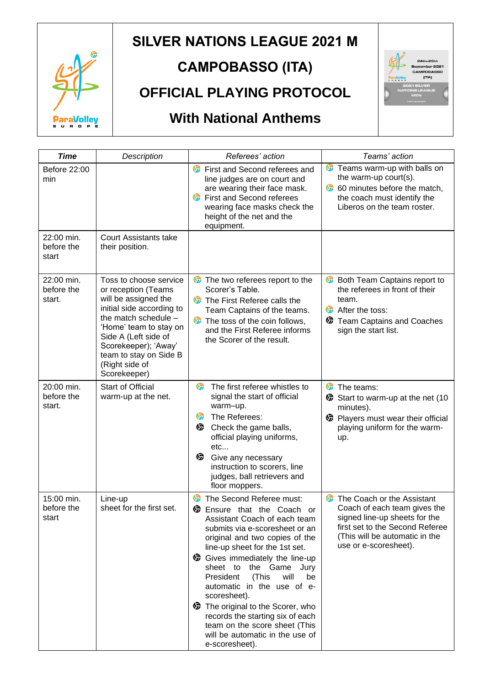

# **SILVER NATIONS LEAGUE 2021 M**

# **CAMPOBASSO (ITA)**

## **OFFICIAL PLAYING PROTOCOL**

# **With National Anthems**



| <b>Time</b>                        | Description                                                                                                                                                                                                                                                      | Referees' action                                                                                                                                                                                                                                                                                                                                                                                                                                                                                                          | Teams' action                                                                                                                                                                             |  |  |
|------------------------------------|------------------------------------------------------------------------------------------------------------------------------------------------------------------------------------------------------------------------------------------------------------------|---------------------------------------------------------------------------------------------------------------------------------------------------------------------------------------------------------------------------------------------------------------------------------------------------------------------------------------------------------------------------------------------------------------------------------------------------------------------------------------------------------------------------|-------------------------------------------------------------------------------------------------------------------------------------------------------------------------------------------|--|--|
| Before 22:00<br>min                |                                                                                                                                                                                                                                                                  | First and Second referees and<br><b>S</b><br>line judges are on court and<br>are wearing their face mask.<br><b>First and Second referees</b><br>v<br>wearing face masks check the<br>height of the net and the<br>equipment.                                                                                                                                                                                                                                                                                             | <b>C</b> Teams warm-up with balls on<br>the warm-up court(s).<br>60 minutes before the match,<br>the coach must identify the<br>Liberos on the team roster.                               |  |  |
| 22:00 min.<br>before the<br>start  | <b>Court Assistants take</b><br>their position.                                                                                                                                                                                                                  |                                                                                                                                                                                                                                                                                                                                                                                                                                                                                                                           |                                                                                                                                                                                           |  |  |
| 22:00 min.<br>before the<br>start. | Toss to choose service<br>or reception (Teams<br>will be assigned the<br>initial side according to<br>the match schedule -<br>'Home' team to stay on<br>Side A (Left side of<br>Scorekeeper); 'Away'<br>team to stay on Side B<br>(Right side of<br>Scorekeeper) | The two referees report to the<br>Scorer's Table.<br>The First Referee calls the<br>Team Captains of the teams.<br>G<br>The toss of the coin follows,<br>and the First Referee informs<br>the Scorer of the result.                                                                                                                                                                                                                                                                                                       | <b>S</b><br>Both Team Captains report to<br>the referees in front of their<br>team.<br><b>ST</b><br>After the toss:<br><b>D</b> Team Captains and Coaches<br>sign the start list.         |  |  |
| 20:00 min.<br>before the<br>start. | <b>Start of Official</b><br>warm-up at the net.                                                                                                                                                                                                                  | <del>⊙</del><br>The first referee whistles to<br>signal the start of official<br>warm-up.<br>☞<br>The Referees:<br>ু<br>Check the game balls,<br>official playing uniforms,<br>etc<br>☞<br>Give any necessary<br>instruction to scorers, line<br>judges, ball retrievers and<br>floor moppers.                                                                                                                                                                                                                            | G<br>The teams:<br>Start to warm-up at the net (10<br>minutes).<br><b>D</b> Players must wear their official<br>playing uniform for the warm-<br>up.                                      |  |  |
| 15:00 min.<br>before the<br>start  | Line-up<br>sheet for the first set.                                                                                                                                                                                                                              | The Second Referee must:<br><b>S</b><br><b>S</b> Ensure that the Coach or<br>Assistant Coach of each team<br>submits via e-scoresheet or an<br>original and two copies of the<br>line-up sheet for the 1st set.<br>Gives immediately the line-up<br>sheet to the Game Jury<br>President<br>(This<br>will<br>be<br>automatic in the use of e-<br>scoresheet).<br>The original to the Scorer, who<br>records the starting six of each<br>team on the score sheet (This<br>will be automatic in the use of<br>e-scoresheet). | The Coach or the Assistant<br>Coach of each team gives the<br>signed line-up sheets for the<br>first set to the Second Referee<br>(This will be automatic in the<br>use or e-scoresheet). |  |  |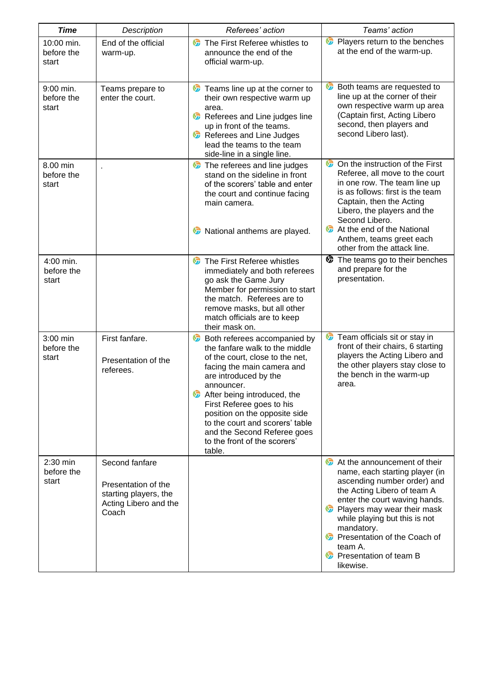| <b>Time</b>                       | Description                                                                                      | Referees' action                                                                                                                                                                                                                                                                                                                                                                                | Teams' action                                                                                                                                                                                                                                                                                                                                            |
|-----------------------------------|--------------------------------------------------------------------------------------------------|-------------------------------------------------------------------------------------------------------------------------------------------------------------------------------------------------------------------------------------------------------------------------------------------------------------------------------------------------------------------------------------------------|----------------------------------------------------------------------------------------------------------------------------------------------------------------------------------------------------------------------------------------------------------------------------------------------------------------------------------------------------------|
| 10:00 min.<br>before the<br>start | End of the official<br>warm-up.                                                                  | The First Referee whistles to<br>announce the end of the<br>official warm-up.                                                                                                                                                                                                                                                                                                                   | <b>D</b> Players return to the benches<br>at the end of the warm-up.                                                                                                                                                                                                                                                                                     |
| 9:00 min.<br>before the<br>start  | Teams prepare to<br>enter the court.                                                             | <b>C</b> Teams line up at the corner to<br>their own respective warm up<br>area.<br>Referees and Line judges line<br>up in front of the teams.<br>Referees and Line Judges<br>lead the teams to the team<br>side-line in a single line.                                                                                                                                                         | <b>b</b> Both teams are requested to<br>line up at the corner of their<br>own respective warm up area<br>(Captain first, Acting Libero<br>second, then players and<br>second Libero last).                                                                                                                                                               |
| 8.00 min<br>before the<br>start   |                                                                                                  | The referees and line judges<br>stand on the sideline in front<br>of the scorers' table and enter<br>the court and continue facing<br>main camera.<br>Co National anthems are played.                                                                                                                                                                                                           | <b>C</b> On the instruction of the First<br>Referee, all move to the court<br>in one row. The team line up<br>is as follows: first is the team<br>Captain, then the Acting<br>Libero, the players and the<br>Second Libero.<br>At the end of the National<br>Anthem, teams greet each                                                                    |
| 4:00 min.<br>before the<br>start  |                                                                                                  | The First Referee whistles<br><b>S</b><br>immediately and both referees<br>go ask the Game Jury<br>Member for permission to start<br>the match. Referees are to<br>remove masks, but all other<br>match officials are to keep<br>their mask on.                                                                                                                                                 | other from the attack line.<br>The teams go to their benches<br>and prepare for the<br>presentation.                                                                                                                                                                                                                                                     |
| 3:00 min<br>before the<br>start   | First fanfare.<br>Presentation of the<br>referees.                                               | <b>Both referees accompanied by</b><br>the fanfare walk to the middle<br>of the court, close to the net,<br>facing the main camera and<br>are introduced by the<br>announcer.<br><b>S</b> After being introduced, the<br>First Referee goes to his<br>position on the opposite side<br>to the court and scorers' table<br>and the Second Referee goes<br>to the front of the scorers'<br>table. | <b>C</b> Team officials sit or stay in<br>front of their chairs, 6 starting<br>players the Acting Libero and<br>the other players stay close to<br>the bench in the warm-up<br>area.                                                                                                                                                                     |
| 2:30 min<br>before the<br>start   | Second fanfare<br>Presentation of the<br>starting players, the<br>Acting Libero and the<br>Coach |                                                                                                                                                                                                                                                                                                                                                                                                 | At the announcement of their<br>name, each starting player (in<br>ascending number order) and<br>the Acting Libero of team A<br>enter the court waving hands.<br><b>D</b> Players may wear their mask<br>while playing but this is not<br>mandatory.<br><b>C</b> Presentation of the Coach of<br>team A.<br><b>C</b> Presentation of team B<br>likewise. |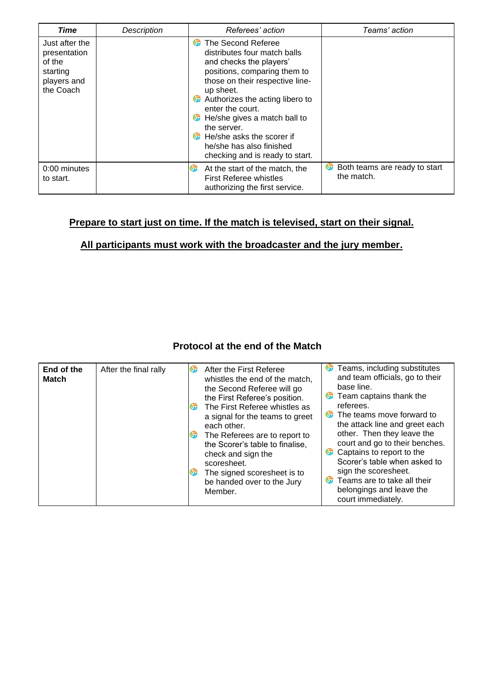| Time                                                                             | Description | Referees' action                                                                                                                                                                                                                                                                                                                                                                     | Teams' action                                    |
|----------------------------------------------------------------------------------|-------------|--------------------------------------------------------------------------------------------------------------------------------------------------------------------------------------------------------------------------------------------------------------------------------------------------------------------------------------------------------------------------------------|--------------------------------------------------|
| Just after the<br>presentation<br>of the<br>starting<br>players and<br>the Coach |             | The Second Referee<br>$\mathbf{v}$<br>distributes four match balls<br>and checks the players'<br>positions, comparing them to<br>those on their respective line-<br>up sheet.<br>Authorizes the acting libero to<br>enter the court.<br>He/she gives a match ball to<br>v<br>the server.<br>He/she asks the scorer if<br>he/she has also finished<br>checking and is ready to start. |                                                  |
| 0:00 minutes<br>to start.                                                        |             | <b>S</b><br>At the start of the match, the<br><b>First Referee whistles</b><br>authorizing the first service.                                                                                                                                                                                                                                                                        | v<br>Both teams are ready to start<br>the match. |

### **Prepare to start just on time. If the match is televised, start on their signal.**

#### **All participants must work with the broadcaster and the jury member.**

#### **Protocol at the end of the Match**

|                            |                       | 67                                                                                                                                           |                                                                                                                                                                                                                                              | v                                                                                                                                                                                                    | Teams, including substitutes                                                                                                                                                       |
|----------------------------|-----------------------|----------------------------------------------------------------------------------------------------------------------------------------------|----------------------------------------------------------------------------------------------------------------------------------------------------------------------------------------------------------------------------------------------|------------------------------------------------------------------------------------------------------------------------------------------------------------------------------------------------------|------------------------------------------------------------------------------------------------------------------------------------------------------------------------------------|
| End of the<br><b>Match</b> | After the final rally | <b>ST</b><br>v,                                                                                                                              | After the First Referee<br>whistles the end of the match.<br>the Second Referee will go<br>the First Referee's position.<br>The First Referee whistles as<br>a signal for the teams to greet<br>each other.<br>The Referees are to report to | <b>ST</b><br>$\mathbf{v}$                                                                                                                                                                            | and team officials, go to their<br>base line.<br>Team captains thank the<br>referees.<br>The teams move forward to<br>the attack line and greet each<br>other. Then they leave the |
|                            | <b>Vz</b>             | the Scorer's table to finalise.<br>check and sign the<br>scoresheet.<br>The signed scoresheet is to<br>be handed over to the Jury<br>Member. | v<br><b>S</b>                                                                                                                                                                                                                                | court and go to their benches.<br>Captains to report to the<br>Scorer's table when asked to<br>sign the scoresheet.<br>Teams are to take all their<br>belongings and leave the<br>court immediately. |                                                                                                                                                                                    |